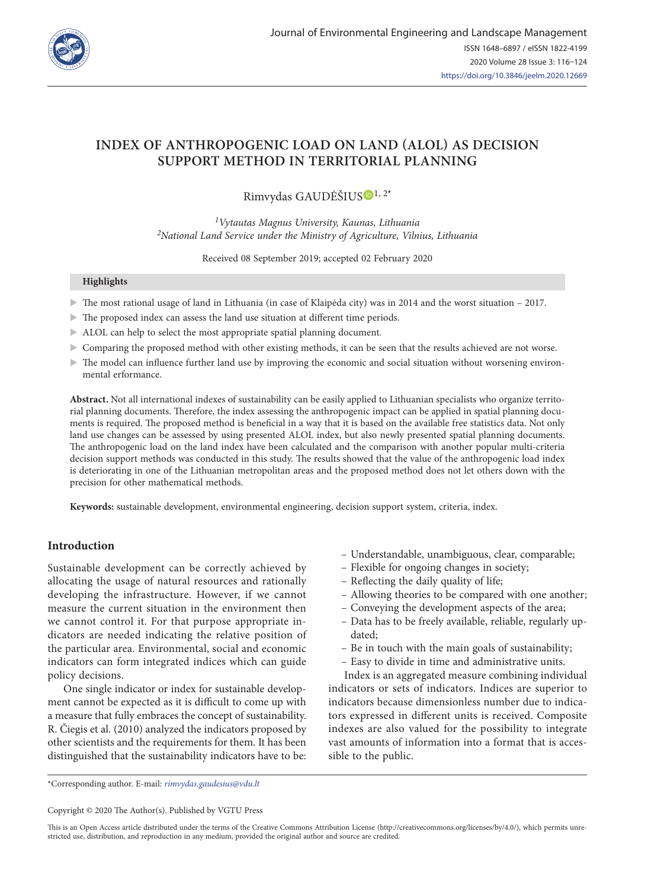

## **INDEX OF ANTHROPOGENIC LOAD ON LAND (ALOL) AS DECISION SUPPORT METHOD IN TERRITORIAL PLANNING**

# Rimvydas GAUDĖŠIU[S](https://orcid.org/0000-0002-0721-3733) 1, 2**\***

*1Vytautas Magnus University, Kaunas, Lithuania 2National Land Service under the Ministry of Agriculture, Vilnius, Lithuania*

Received 08 September 2019; accepted 02 February 2020

#### **Highlights**

- $\triangleright$  The most rational usage of land in Lithuania (in case of Klaipėda city) was in 2014 and the worst situation 2017.
- $\blacktriangleright$  The proposed index can assess the land use situation at different time periods.
- ALOL can help to select the most appropriate spatial planning document.
- $\triangleright$  Comparing the proposed method with other existing methods, it can be seen that the results achieved are not worse.
- $\triangleright$  The model can influence further land use by improving the economic and social situation without worsening environmental erformance.

**Abstract.** Not all international indexes of sustainability can be easily applied to Lithuanian specialists who organize territorial planning documents. Therefore, the index assessing the anthropogenic impact can be applied in spatial planning documents is required. The proposed method is beneficial in a way that it is based on the available free statistics data. Not only land use changes can be assessed by using presented ALOL index, but also newly presented spatial planning documents. The anthropogenic load on the land index have been calculated and the comparison with another popular multi-criteria decision support methods was conducted in this study. The results showed that the value of the anthropogenic load index is deteriorating in one of the Lithuanian metropolitan areas and the proposed method does not let others down with the precision for other mathematical methods.

**Keywords:** sustainable development, environmental engineering, decision support system, criteria, index.

## **Introduction**

Sustainable development can be correctly achieved by allocating the usage of natural resources and rationally developing the infrastructure. However, if we cannot measure the current situation in the environment then we cannot control it. For that purpose appropriate indicators are needed indicating the relative position of the particular area. Environmental, social and economic indicators can form integrated indices which can guide policy decisions.

One single indicator or index for sustainable development cannot be expected as it is difficult to come up with a measure that fully embraces the concept of sustainability. R. Čiegis et al. (2010) analyzed the indicators proposed by other scientists and the requirements for them. It has been distinguished that the sustainability indicators have to be:

- Understandable, unambiguous, clear, comparable;
- Flexible for ongoing changes in society;
- Reflecting the daily quality of life;
- Allowing theories to be compared with one another;
- Conveying the development aspects of the area;
- Data has to be freely available, reliable, regularly updated;
- Be in touch with the main goals of sustainability;
- Easy to divide in time and administrative units.

Index is an aggregated measure combining individual indicators or sets of indicators. Indices are superior to indicators because dimensionless number due to indicators expressed in different units is received. Composite indexes are also valued for the possibility to integrate vast amounts of information into a format that is accessible to the public.

\*Corresponding author. E-mail: *rimvydas.gaudesius@vdu.lt*

Copyright © 2020 The Author(s). Published by VGTU Press

This is an Open Access article distributed under the terms of the Creative Commons Attribution License [\(http://creativecommons.org/licenses/by/4.0/](http://creativecommons.org/licenses/by/4.0/)), which permits unrestricted use, distribution, and reproduction in any medium, provided the original author and source are credited.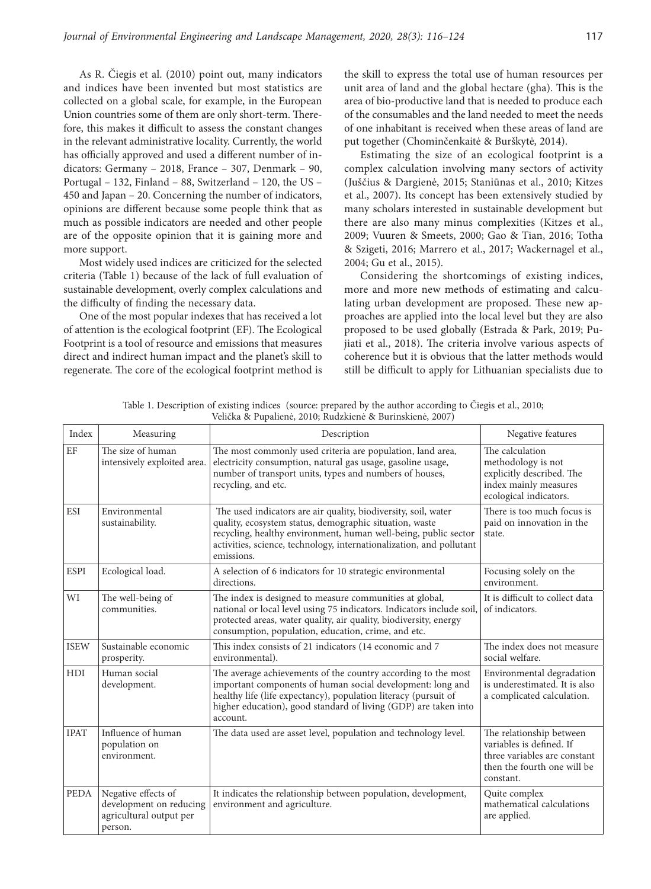As R. Čiegis et al. (2010) point out, many indicators and indices have been invented but most statistics are collected on a global scale, for example, in the European Union countries some of them are only short-term. Therefore, this makes it difficult to assess the constant changes in the relevant administrative locality. Currently, the world has officially approved and used a different number of indicators: Germany – 2018, France – 307, Denmark – 90, Portugal – 132, Finland – 88, Switzerland – 120, the US – 450 and Japan – 20. Concerning the number of indicators, opinions are different because some people think that as much as possible indicators are needed and other people are of the opposite opinion that it is gaining more and more support.

Most widely used indices are criticized for the selected criteria (Table 1) because of the lack of full evaluation of sustainable development, overly complex calculations and the difficulty of finding the necessary data.

One of the most popular indexes that has received a lot of attention is the ecological footprint (EF). The Ecological Footprint is a tool of resource and emissions that measures direct and indirect human impact and the planet's skill to regenerate. The core of the ecological footprint method is the skill to express the total use of human resources per unit area of land and the global hectare (gha). This is the area of bio-productive land that is needed to produce each of the consumables and the land needed to meet the needs of one inhabitant is received when these areas of land are put together (Chominčenkaitė & Burškytė, 2014).

Estimating the size of an ecological footprint is a complex calculation involving many sectors of activity (Juščius & Dargienė, 2015; Staniūnas et al., 2010; Kitzes et al., 2007). Its concept has been extensively studied by many scholars interested in sustainable development but there are also many minus complexities (Kitzes et al., 2009; Vuuren & Smeets, 2000; Gao & Tian, 2016; Totha & Szigeti, 2016; Marrero et al., 2017; Wackernagel et al., 2004; Gu et al., 2015).

Considering the shortcomings of existing indices, more and more new methods of estimating and calculating urban development are proposed. These new approaches are applied into the local level but they are also proposed to be used globally (Estrada & Park, 2019; Pujiati et al., 2018). The criteria involve various aspects of coherence but it is obvious that the latter methods would still be difficult to apply for Lithuanian specialists due to

| Index       | Measuring                                                                            | Description                                                                                                                                                                                                                                                                        | Negative features                                                                                                                |
|-------------|--------------------------------------------------------------------------------------|------------------------------------------------------------------------------------------------------------------------------------------------------------------------------------------------------------------------------------------------------------------------------------|----------------------------------------------------------------------------------------------------------------------------------|
| EF          | The size of human<br>intensively exploited area.                                     | The most commonly used criteria are population, land area,<br>electricity consumption, natural gas usage, gasoline usage,<br>number of transport units, types and numbers of houses,<br>recycling, and etc.                                                                        | The calculation<br>methodology is not<br>explicitly described. The<br>index mainly measures<br>ecological indicators.            |
| <b>ESI</b>  | Environmental<br>sustainability.                                                     | The used indicators are air quality, biodiversity, soil, water<br>quality, ecosystem status, demographic situation, waste<br>recycling, healthy environment, human well-being, public sector<br>activities, science, technology, internationalization, and pollutant<br>emissions. | There is too much focus is<br>paid on innovation in the<br>state.                                                                |
| <b>ESPI</b> | Ecological load.                                                                     | A selection of 6 indicators for 10 strategic environmental<br>directions.                                                                                                                                                                                                          | Focusing solely on the<br>environment.                                                                                           |
| WI          | The well-being of<br>communities.                                                    | The index is designed to measure communities at global,<br>national or local level using 75 indicators. Indicators include soil,<br>protected areas, water quality, air quality, biodiversity, energy<br>consumption, population, education, crime, and etc.                       | It is difficult to collect data<br>of indicators.                                                                                |
| <b>ISEW</b> | Sustainable economic<br>prosperity.                                                  | This index consists of 21 indicators (14 economic and 7<br>environmental).                                                                                                                                                                                                         | The index does not measure<br>social welfare.                                                                                    |
| <b>HDI</b>  | Human social<br>development.                                                         | The average achievements of the country according to the most<br>important components of human social development: long and<br>healthy life (life expectancy), population literacy (pursuit of<br>higher education), good standard of living (GDP) are taken into<br>account.      | Environmental degradation<br>is underestimated. It is also<br>a complicated calculation.                                         |
| <b>IPAT</b> | Influence of human<br>population on<br>environment.                                  | The data used are asset level, population and technology level.                                                                                                                                                                                                                    | The relationship between<br>variables is defined. If<br>three variables are constant<br>then the fourth one will be<br>constant. |
| <b>PEDA</b> | Negative effects of<br>development on reducing<br>agricultural output per<br>person. | It indicates the relationship between population, development,<br>environment and agriculture.                                                                                                                                                                                     | Quite complex<br>mathematical calculations<br>are applied.                                                                       |

Table 1. Description of existing indices (source: prepared by the author according to Čiegis et al., 2010; Velička & Pupalienė, 2010; Rudzkienė & Burinskienė, 2007)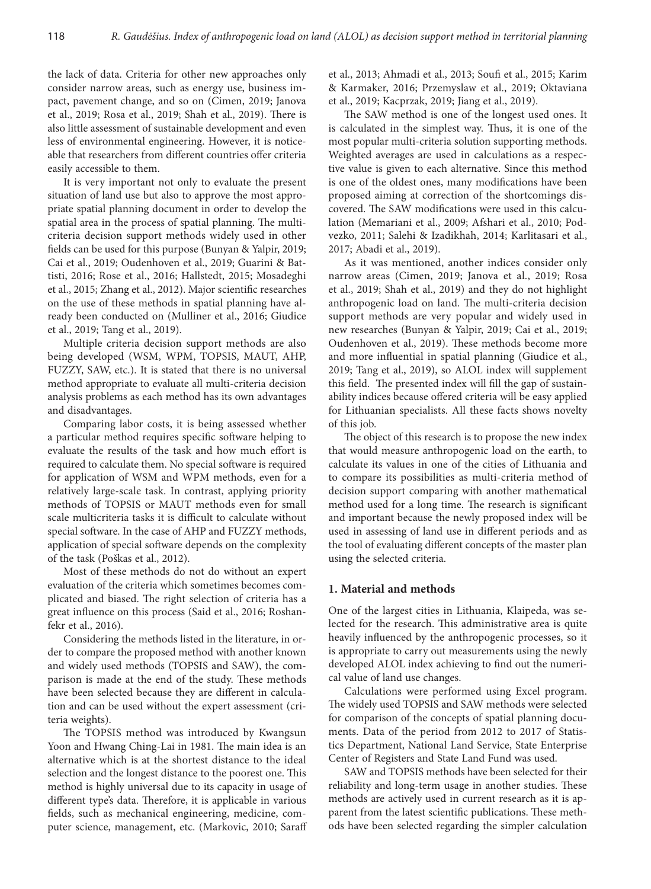the lack of data. Criteria for other new approaches only consider narrow areas, such as energy use, business impact, pavement change, and so on (Cimen, 2019; Janova et al., 2019; Rosa et al., 2019; Shah et al., 2019). There is also little assessment of sustainable development and even less of environmental engineering. However, it is noticeable that researchers from different countries offer criteria easily accessible to them.

It is very important not only to evaluate the present situation of land use but also to approve the most appropriate spatial planning document in order to develop the spatial area in the process of spatial planning. The multicriteria decision support methods widely used in other fields can be used for this purpose (Bunyan & Yalpir, 2019; Cai et al., 2019; Oudenhoven et al., 2019; Guarini & Battisti, 2016; Rose et al., 2016; Hallstedt, 2015; Mosadeghi et al., 2015; Zhang et al., 2012). Major scientific researches on the use of these methods in spatial planning have already been conducted on (Mulliner et al., 2016; Giudice et al., 2019; Tang et al., 2019).

Multiple criteria decision support methods are also being developed (WSM, WPM, TOPSIS, MAUT, AHP, FUZZY, SAW, etc.). It is stated that there is no universal method appropriate to evaluate all multi-criteria decision analysis problems as each method has its own advantages and disadvantages.

Comparing labor costs, it is being assessed whether a particular method requires specific software helping to evaluate the results of the task and how much effort is required to calculate them. No special software is required for application of WSM and WPM methods, even for a relatively large-scale task. In contrast, applying priority methods of TOPSIS or MAUT methods even for small scale multicriteria tasks it is difficult to calculate without special software. In the case of AHP and FUZZY methods, application of special software depends on the complexity of the task (Poškas et al., 2012).

Most of these methods do not do without an expert evaluation of the criteria which sometimes becomes complicated and biased. The right selection of criteria has a great influence on this process (Said et al., 2016; Roshanfekr et al., 2016).

Considering the methods listed in the literature, in order to compare the proposed method with another known and widely used methods (TOPSIS and SAW), the comparison is made at the end of the study. These methods have been selected because they are different in calculation and can be used without the expert assessment (criteria weights).

The TOPSIS method was introduced by Kwangsun Yoon and Hwang Ching-Lai in 1981. The main idea is an alternative which is at the shortest distance to the ideal selection and the longest distance to the poorest one. This method is highly universal due to its capacity in usage of different type's data. Therefore, it is applicable in various fields, such as mechanical engineering, medicine, computer science, management, etc. (Markovic, 2010; Saraff et al., 2013; Ahmadi et al., 2013; Soufi et al., 2015; Karim & Karmaker, 2016; Przemyslaw et al., 2019; Oktaviana et al., 2019; Kacprzak, 2019; Jiang et al., 2019).

The SAW method is one of the longest used ones. It is calculated in the simplest way. Thus, it is one of the most popular multi-criteria solution supporting methods. Weighted averages are used in calculations as a respective value is given to each alternative. Since this method is one of the oldest ones, many modifications have been proposed aiming at correction of the shortcomings discovered. The SAW modifications were used in this calculation (Memariani et al., 2009; Afshari et al., 2010; Podvezko, 2011; Salehi & Izadikhah, 2014; Karlitasari et al., 2017; Abadi et al., 2019).

As it was mentioned, another indices consider only narrow areas (Cimen, 2019; Janova et al., 2019; Rosa et al., 2019; Shah et al., 2019) and they do not highlight anthropogenic load on land. The multi-criteria decision support methods are very popular and widely used in new researches (Bunyan & Yalpir, 2019; Cai et al., 2019; Oudenhoven et al., 2019). These methods become more and more influential in spatial planning (Giudice et al., 2019; Tang et al., 2019), so ALOL index will supplement this field. The presented index will fill the gap of sustainability indices because offered criteria will be easy applied for Lithuanian specialists. All these facts shows novelty of this job.

The object of this research is to propose the new index that would measure anthropogenic load on the earth, to calculate its values in one of the cities of Lithuania and to compare its possibilities as multi-criteria method of decision support comparing with another mathematical method used for a long time. The research is significant and important because the newly proposed index will be used in assessing of land use in different periods and as the tool of evaluating different concepts of the master plan using the selected criteria.

#### **1. Material and methods**

One of the largest cities in Lithuania, Klaipeda, was selected for the research. This administrative area is quite heavily influenced by the anthropogenic processes, so it is appropriate to carry out measurements using the newly developed ALOL index achieving to find out the numerical value of land use changes.

Calculations were performed using Excel program. The widely used TOPSIS and SAW methods were selected for comparison of the concepts of spatial planning documents. Data of the period from 2012 to 2017 of Statistics Department, National Land Service, State Enterprise Center of Registers and State Land Fund was used.

SAW and TOPSIS methods have been selected for their reliability and long-term usage in another studies. These methods are actively used in current research as it is apparent from the latest scientific publications. These methods have been selected regarding the simpler calculation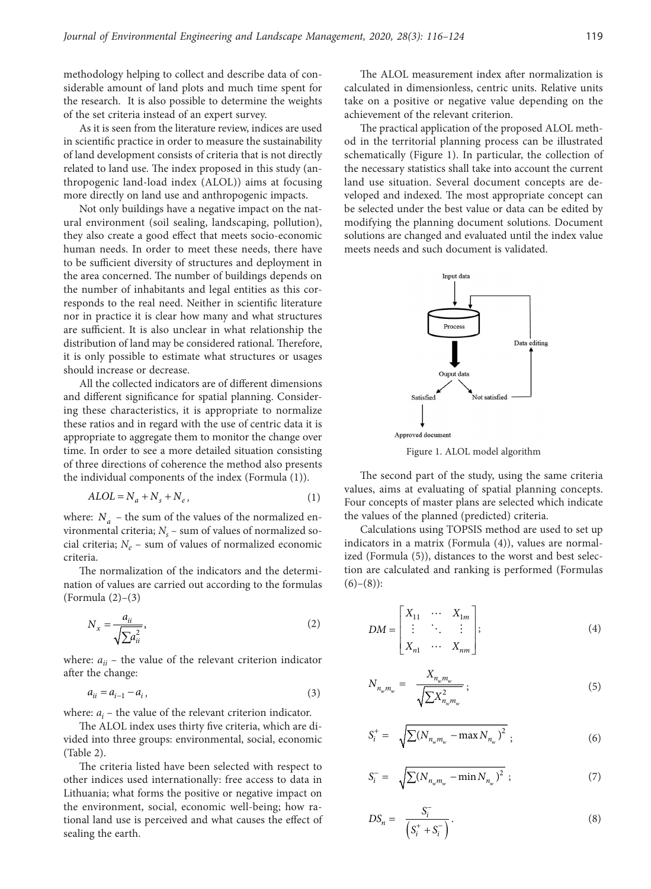methodology helping to collect and describe data of considerable amount of land plots and much time spent for the research. It is also possible to determine the weights of the set criteria instead of an expert survey.

As it is seen from the literature review, indices are used in scientific practice in order to measure the sustainability of land development consists of criteria that is not directly related to land use. The index proposed in this study (anthropogenic land-load index (ALOL)) aims at focusing more directly on land use and anthropogenic impacts.

Not only buildings have a negative impact on the natural environment (soil sealing, landscaping, pollution), they also create a good effect that meets socio-economic human needs. In order to meet these needs, there have to be sufficient diversity of structures and deployment in the area concerned. The number of buildings depends on the number of inhabitants and legal entities as this corresponds to the real need. Neither in scientific literature nor in practice it is clear how many and what structures are sufficient. It is also unclear in what relationship the distribution of land may be considered rational. Therefore, it is only possible to estimate what structures or usages should increase or decrease.

All the collected indicators are of different dimensions and different significance for spatial planning. Considering these characteristics, it is appropriate to normalize these ratios and in regard with the use of centric data it is appropriate to aggregate them to monitor the change over time. In order to see a more detailed situation consisting of three directions of coherence the method also presents the individual components of the index (Formula (1)).

$$
ALOL = N_a + N_s + N_e, \tag{1}
$$

where:  $N_a$  – the sum of the values of the normalized environmental criteria;  $N_s$  – sum of values of normalized social criteria;  $N_e$  – sum of values of normalized economic criteria.

The normalization of the indicators and the determination of values are carried out according to the formulas (Formula (2)–(3)

$$
N_x = \frac{a_{ii}}{\sqrt{\sum a_{ii}^2}},\tag{2}
$$

where:  $a_{ii}$  – the value of the relevant criterion indicator after the change:

$$
a_{ii} = a_{i-1} - a_i, \t\t(3)
$$

where:  $a_i$  – the value of the relevant criterion indicator.

The ALOL index uses thirty five criteria, which are divided into three groups: environmental, social, economic (Table 2).

The criteria listed have been selected with respect to other indices used internationally: free access to data in Lithuania; what forms the positive or negative impact on the environment, social, economic well-being; how rational land use is perceived and what causes the effect of sealing the earth.

The ALOL measurement index after normalization is calculated in dimensionless, centric units. Relative units take on a positive or negative value depending on the achievement of the relevant criterion.

The practical application of the proposed ALOL method in the territorial planning process can be illustrated schematically (Figure 1). In particular, the collection of the necessary statistics shall take into account the current land use situation. Several document concepts are developed and indexed. The most appropriate concept can be selected under the best value or data can be edited by modifying the planning document solutions. Document solutions are changed and evaluated until the index value meets needs and such document is validated.



Figure 1. ALOL model algorithm

The second part of the study, using the same criteria values, aims at evaluating of spatial planning concepts. Four concepts of master plans are selected which indicate the values of the planned (predicted) criteria.

Calculations using TOPSIS method are used to set up indicators in a matrix (Formula (4)), values are normalized (Formula (5)), distances to the worst and best selection are calculated and ranking is performed (Formulas  $(6)-(8)$ :

$$
DM = \begin{bmatrix} X_{11} & \cdots & X_{1m} \\ \vdots & \ddots & \vdots \\ X_{n1} & \cdots & X_{nm} \end{bmatrix};
$$
 (4)

$$
N_{n_{w}m_{w}} = \frac{X_{n_{w}m_{w}}}{\sqrt{\sum X_{n_{w}m_{w}}^{2}}};
$$
\n(5)

$$
S_i^+ = \sqrt{\sum (N_{n_w m_w} - \max N_{n_w})^2} ; \qquad (6)
$$

$$
S_i^- = \sqrt{\sum (N_{n_w m_w} - \min N_{n_w})^2} ; \qquad (7)
$$

$$
DS_n = \frac{S_i^-}{\left(S_i^+ + S_i^-\right)}.
$$
\n<sup>(8)</sup>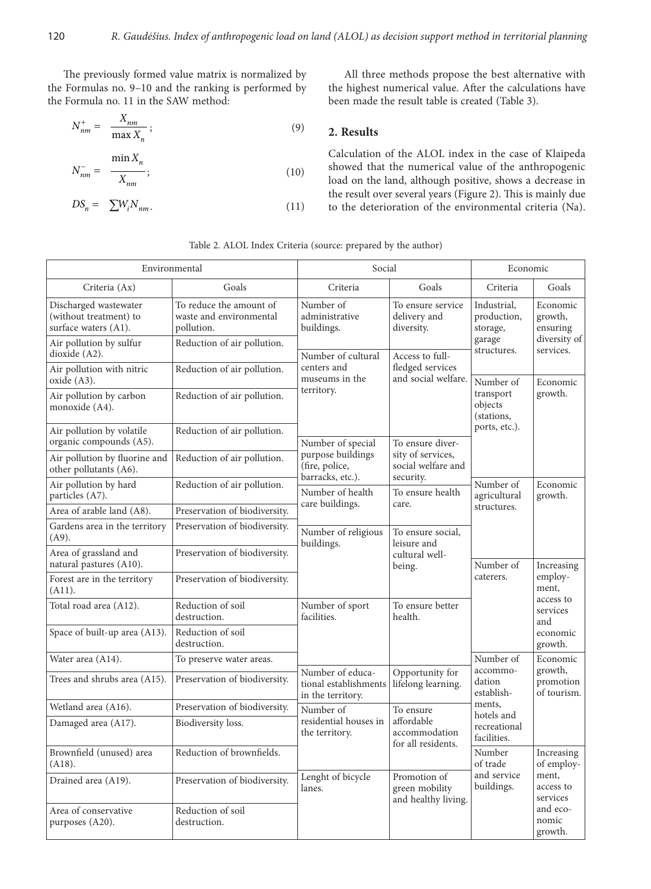The previously formed value matrix is normalized by the Formulas no. 9–10 and the ranking is performed by the Formula no. 11 in the SAW method:

$$
N_{nm}^{+} = \frac{X_{nm}}{\max X_n};
$$
\n(9)

$$
N_{nm}^- = \frac{\min X_n}{X_{nm}};
$$
\n(10)

$$
DS_n = \sum W_i N_{nm}.
$$
\n(11)

All three methods propose the best alternative with the highest numerical value. After the calculations have been made the result table is created (Table 3).

## **2. Results**

Calculation of the ALOL index in the case of Klaipeda showed that the numerical value of the anthropogenic load on the land, although positive, shows a decrease in the result over several years (Figure 2). This is mainly due to the deterioration of the environmental criteria (Na).

|                                                                         | Environmental                                                    | Social                                                         | Economic                                                       |                                                         |                                                                                                                                          |  |
|-------------------------------------------------------------------------|------------------------------------------------------------------|----------------------------------------------------------------|----------------------------------------------------------------|---------------------------------------------------------|------------------------------------------------------------------------------------------------------------------------------------------|--|
| Criteria (Ax)                                                           | Goals                                                            | Criteria                                                       | Goals                                                          | Criteria                                                | Goals                                                                                                                                    |  |
| Discharged wastewater<br>(without treatment) to<br>surface waters (A1). | To reduce the amount of<br>waste and environmental<br>pollution. | Number of<br>administrative<br>buildings.                      | To ensure service<br>delivery and<br>diversity.                | Industrial,<br>production,<br>storage,                  | Economic<br>growth,<br>ensuring<br>diversity of<br>services.                                                                             |  |
| Air pollution by sulfur<br>dioxide (A2).                                | Reduction of air pollution.                                      | Number of cultural                                             | Access to full-                                                | garage<br>structures.                                   |                                                                                                                                          |  |
| Air pollution with nitric<br>oxide (A3).                                | Reduction of air pollution.                                      | centers and<br>museums in the                                  | fledged services<br>and social welfare.                        | Number of<br>transport<br>objects<br>(stations,         | Economic<br>growth.                                                                                                                      |  |
| Air pollution by carbon<br>monoxide (A4).                               | Reduction of air pollution.                                      | territory.                                                     |                                                                |                                                         |                                                                                                                                          |  |
| Air pollution by volatile<br>organic compounds (A5).                    | Reduction of air pollution.                                      | Number of special                                              | To ensure diver-                                               | ports, etc.).                                           |                                                                                                                                          |  |
| Air pollution by fluorine and<br>other pollutants (A6).                 | Reduction of air pollution.                                      | purpose buildings<br>(fire, police,<br>barracks, etc.).        | sity of services,<br>social welfare and                        |                                                         |                                                                                                                                          |  |
| Air pollution by hard<br>particles (A7).                                | Reduction of air pollution.                                      | Number of health                                               | security.<br>To ensure health                                  | Number of<br>agricultural                               | Economic<br>growth.                                                                                                                      |  |
| Area of arable land (A8).                                               | Preservation of biodiversity.                                    | care buildings.                                                | care.                                                          | structures.                                             |                                                                                                                                          |  |
| Gardens area in the territory<br>$(A9)$ .                               | Preservation of biodiversity.                                    | Number of religious<br>buildings.                              | To ensure social,<br>leisure and                               |                                                         |                                                                                                                                          |  |
| Area of grassland and<br>natural pastures (A10).                        | Preservation of biodiversity.                                    |                                                                | cultural well-<br>being.                                       | Number of<br>caterers.                                  | Increasing<br>employ-<br>ment,<br>access to<br>services<br>and<br>economic<br>growth.<br>Economic<br>growth,<br>promotion<br>of tourism. |  |
| Forest are in the territory<br>(A11).                                   | Preservation of biodiversity.                                    |                                                                |                                                                |                                                         |                                                                                                                                          |  |
| Total road area (A12).                                                  | Reduction of soil<br>destruction.                                | Number of sport<br>facilities.                                 | To ensure better<br>health.                                    |                                                         |                                                                                                                                          |  |
| Space of built-up area (A13).                                           | Reduction of soil<br>destruction.                                |                                                                |                                                                |                                                         |                                                                                                                                          |  |
| Water area (A14).                                                       | To preserve water areas.                                         |                                                                |                                                                | Number of<br>accommo-<br>dation<br>establish-<br>ments, |                                                                                                                                          |  |
| Trees and shrubs area (A15).                                            | Preservation of biodiversity.                                    | Number of educa-<br>tional establishments<br>in the territory. | Opportunity for<br>lifelong learning.                          |                                                         |                                                                                                                                          |  |
| Wetland area (A16).                                                     | Preservation of biodiversity.                                    | Number of                                                      | To ensure<br>affordable<br>accommodation<br>for all residents. |                                                         |                                                                                                                                          |  |
| Damaged area (A17).                                                     | Biodiversity loss.                                               | residential houses in<br>the territory.                        |                                                                | hotels and<br>recreational<br>facilities.               |                                                                                                                                          |  |
| Brownfield (unused) area<br>(A18).                                      | Reduction of brownfields.                                        |                                                                |                                                                | Number<br>of trade                                      | Increasing<br>of employ-<br>ment,<br>access to<br>services<br>and eco-<br>nomic<br>growth.                                               |  |
| Drained area (A19).                                                     | Preservation of biodiversity.                                    | Lenght of bicycle<br>lanes.                                    | Promotion of<br>green mobility<br>and healthy living.          | and service<br>buildings.                               |                                                                                                                                          |  |
| Area of conservative<br>purposes (A20).                                 | Reduction of soil<br>destruction.                                |                                                                |                                                                |                                                         |                                                                                                                                          |  |

Table 2. ALOL Index Criteria (source: prepared by the author)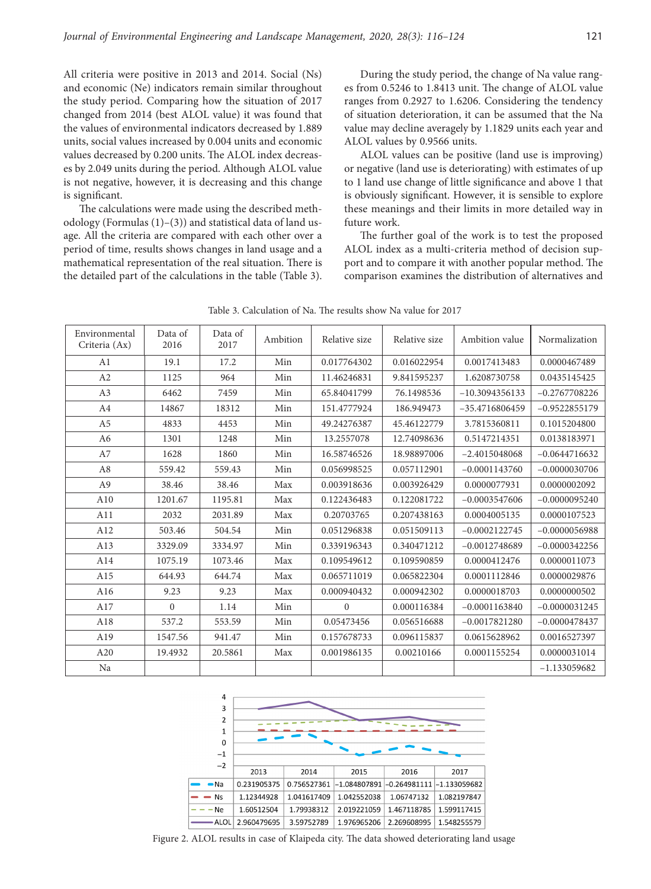All criteria were positive in 2013 and 2014. Social (Ns) and economic (Ne) indicators remain similar throughout the study period. Comparing how the situation of 2017 changed from 2014 (best ALOL value) it was found that the values of environmental indicators decreased by 1.889 units, social values increased by 0.004 units and economic values decreased by 0.200 units. The ALOL index decreases by 2.049 units during the period. Although ALOL value is not negative, however, it is decreasing and this change is significant.

The calculations were made using the described methodology (Formulas (1)–(3)) and statistical data of land usage. All the criteria are compared with each other over a period of time, results shows changes in land usage and a mathematical representation of the real situation. There is the detailed part of the calculations in the table (Table 3).

During the study period, the change of Na value ranges from 0.5246 to 1.8413 unit. The change of ALOL value ranges from 0.2927 to 1.6206. Considering the tendency of situation deterioration, it can be assumed that the Na value may decline averagely by 1.1829 units each year and ALOL values by 0.9566 units.

ALOL values can be positive (land use is improving) or negative (land use is deteriorating) with estimates of up to 1 land use change of little significance and above 1 that is obviously significant. However, it is sensible to explore these meanings and their limits in more detailed way in future work.

The further goal of the work is to test the proposed ALOL index as a multi-criteria method of decision support and to compare it with another popular method. The comparison examines the distribution of alternatives and

| Environmental<br>Criteria (Ax) | Data of<br>2016 | Data of<br>2017 | Ambition | Relative size | Relative size | Ambition value   | Normalization   |
|--------------------------------|-----------------|-----------------|----------|---------------|---------------|------------------|-----------------|
| A <sub>1</sub>                 | 19.1            | 17.2            | Min      | 0.017764302   | 0.016022954   | 0.0017413483     | 0.0000467489    |
| A2                             | 1125            | 964             | Min      | 11.46246831   | 9.841595237   | 1.6208730758     | 0.0435145425    |
| A <sub>3</sub>                 | 6462            | 7459            | Min      | 65.84041799   | 76.1498536    | $-10.3094356133$ | $-0.2767708226$ |
| A <sub>4</sub>                 | 14867           | 18312           | Min      | 151.4777924   | 186.949473    | $-35.4716806459$ | $-0.9522855179$ |
| A <sub>5</sub>                 | 4833            | 4453            | Min      | 49.24276387   | 45.46122779   | 3.7815360811     | 0.1015204800    |
| A6                             | 1301            | 1248            | Min      | 13.2557078    | 12.74098636   | 0.5147214351     | 0.0138183971    |
| A7                             | 1628            | 1860            | Min      | 16.58746526   | 18.98897006   | $-2.4015048068$  | $-0.0644716632$ |
| A8                             | 559.42          | 559.43          | Min      | 0.056998525   | 0.057112901   | $-0.0001143760$  | $-0.0000030706$ |
| A <sub>9</sub>                 | 38.46           | 38.46           | Max      | 0.003918636   | 0.003926429   | 0.0000077931     | 0.0000002092    |
| A10                            | 1201.67         | 1195.81         | Max      | 0.122436483   | 0.122081722   | $-0.0003547606$  | $-0.0000095240$ |
| A11                            | 2032            | 2031.89         | Max      | 0.20703765    | 0.207438163   | 0.0004005135     | 0.0000107523    |
| A12                            | 503.46          | 504.54          | Min      | 0.051296838   | 0.051509113   | $-0.0002122745$  | $-0.0000056988$ |
| A13                            | 3329.09         | 3334.97         | Min      | 0.339196343   | 0.340471212   | $-0.0012748689$  | $-0.0000342256$ |
| A14                            | 1075.19         | 1073.46         | Max      | 0.109549612   | 0.109590859   | 0.0000412476     | 0.0000011073    |
| A15                            | 644.93          | 644.74          | Max      | 0.065711019   | 0.065822304   | 0.0001112846     | 0.0000029876    |
| A16                            | 9.23            | 9.23            | Max      | 0.000940432   | 0.000942302   | 0.0000018703     | 0.0000000502    |
| A17                            | $\Omega$        | 1.14            | Min      | $\mathbf{0}$  | 0.000116384   | $-0.0001163840$  | $-0.0000031245$ |
| A18                            | 537.2           | 553.59          | Min      | 0.05473456    | 0.056516688   | $-0.0017821280$  | $-0.0000478437$ |
| A19                            | 1547.56         | 941.47          | Min      | 0.157678733   | 0.096115837   | 0.0615628962     | 0.0016527397    |
| A20                            | 19.4932         | 20.5861         | Max      | 0.001986135   | 0.00210166    | 0.0001155254     | 0.0000031014    |
| Na                             |                 |                 |          |               |               |                  | $-1.133059682$  |

Table 3. Calculation of Na. The results show Na value for 2017



Figure 2. ALOL results in case of Klaipeda city. The data showed deteriorating land usage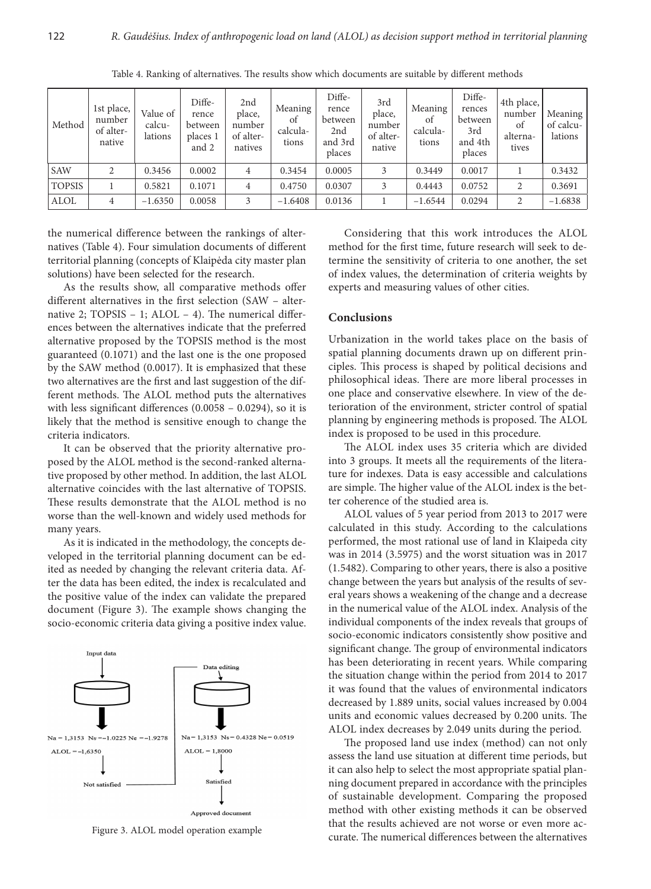| Method        | 1st place,<br>number<br>of alter-<br>native | Value of<br>calcu-<br>lations | Diffe-<br>rence<br>between<br>places 1<br>and 2 | 2nd<br>place,<br>number<br>of alter-<br>natives | Meaning<br>of<br>calcula-<br>tions | Diffe-<br>rence<br>between<br>2nd<br>and 3rd<br>places | 3rd<br>place,<br>number<br>of alter-<br>native | Meaning<br><sub>of</sub><br>calcula-<br>tions | Diffe-<br>rences<br>between<br>3rd<br>and 4th<br>places | 4th place,<br>number<br>of<br>alterna-<br>tives | Meaning<br>of calcu-<br>lations |
|---------------|---------------------------------------------|-------------------------------|-------------------------------------------------|-------------------------------------------------|------------------------------------|--------------------------------------------------------|------------------------------------------------|-----------------------------------------------|---------------------------------------------------------|-------------------------------------------------|---------------------------------|
| <b>SAW</b>    | 2                                           | 0.3456                        | 0.0002                                          | 4                                               | 0.3454                             | 0.0005                                                 | 3                                              | 0.3449                                        | 0.0017                                                  |                                                 | 0.3432                          |
| <b>TOPSIS</b> |                                             | 0.5821                        | 0.1071                                          | 4                                               | 0.4750                             | 0.0307                                                 | 3                                              | 0.4443                                        | 0.0752                                                  | $\overline{2}$                                  | 0.3691                          |
| ALOL          | 4                                           | $-1.6350$                     | 0.0058                                          | 3                                               | $-1.6408$                          | 0.0136                                                 |                                                | $-1.6544$                                     | 0.0294                                                  | $\overline{2}$                                  | $-1.6838$                       |

Table 4. Ranking of alternatives. The results show which documents are suitable by different methods

the numerical difference between the rankings of alternatives (Table 4). Four simulation documents of different territorial planning (concepts of Klaipėda city master plan solutions) have been selected for the research.

As the results show, all comparative methods offer different alternatives in the first selection (SAW – alternative 2; TOPSIS – 1; ALOL – 4). The numerical differences between the alternatives indicate that the preferred alternative proposed by the TOPSIS method is the most guaranteed (0.1071) and the last one is the one proposed by the SAW method (0.0017). It is emphasized that these two alternatives are the first and last suggestion of the different methods. The ALOL method puts the alternatives with less significant differences (0.0058 – 0.0294), so it is likely that the method is sensitive enough to change the criteria indicators.

It can be observed that the priority alternative proposed by the ALOL method is the second-ranked alternative proposed by other method. In addition, the last ALOL alternative coincides with the last alternative of TOPSIS. These results demonstrate that the ALOL method is no worse than the well-known and widely used methods for many years.

As it is indicated in the methodology, the concepts developed in the territorial planning document can be edited as needed by changing the relevant criteria data. After the data has been edited, the index is recalculated and the positive value of the index can validate the prepared document (Figure 3). The example shows changing the socio-economic criteria data giving a positive index value.



Figure 3. ALOL model operation example

Considering that this work introduces the ALOL method for the first time, future research will seek to determine the sensitivity of criteria to one another, the set of index values, the determination of criteria weights by experts and measuring values of other cities.

### **Conclusions**

Urbanization in the world takes place on the basis of spatial planning documents drawn up on different principles. This process is shaped by political decisions and philosophical ideas. There are more liberal processes in one place and conservative elsewhere. In view of the deterioration of the environment, stricter control of spatial planning by engineering methods is proposed. The ALOL index is proposed to be used in this procedure.

The ALOL index uses 35 criteria which are divided into 3 groups. It meets all the requirements of the literature for indexes. Data is easy accessible and calculations are simple. The higher value of the ALOL index is the better coherence of the studied area is.

ALOL values of 5 year period from 2013 to 2017 were calculated in this study. According to the calculations performed, the most rational use of land in Klaipeda city was in 2014 (3.5975) and the worst situation was in 2017 (1.5482). Comparing to other years, there is also a positive change between the years but analysis of the results of several years shows a weakening of the change and a decrease in the numerical value of the ALOL index. Analysis of the individual components of the index reveals that groups of socio-economic indicators consistently show positive and significant change. The group of environmental indicators has been deteriorating in recent years. While comparing the situation change within the period from 2014 to 2017 it was found that the values of environmental indicators decreased by 1.889 units, social values increased by 0.004 units and economic values decreased by 0.200 units. The ALOL index decreases by 2.049 units during the period.

The proposed land use index (method) can not only assess the land use situation at different time periods, but it can also help to select the most appropriate spatial planning document prepared in accordance with the principles of sustainable development. Comparing the proposed method with other existing methods it can be observed that the results achieved are not worse or even more accurate. The numerical differences between the alternatives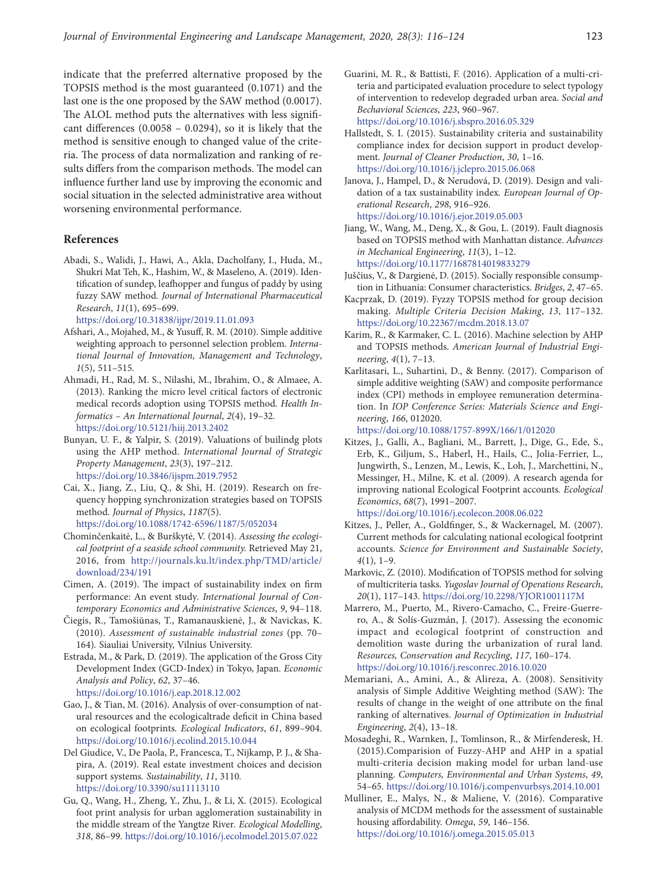indicate that the preferred alternative proposed by the TOPSIS method is the most guaranteed (0.1071) and the last one is the one proposed by the SAW method (0.0017). The ALOL method puts the alternatives with less significant differences (0.0058 – 0.0294), so it is likely that the method is sensitive enough to changed value of the criteria. The process of data normalization and ranking of results differs from the comparison methods. The model can influence further land use by improving the economic and social situation in the selected administrative area without worsening environmental performance.

#### **References**

Abadi, S., Walidi, J., Hawi, A., Akla, Dacholfany, I., Huda, M., Shukri Mat Teh, K., Hashim, W., & Maseleno, A. (2019). Identification of sundep, leafhopper and fungus of paddy by using fuzzy SAW method. *Journal of International Pharmaceutical Research*, *11*(1), 695–699.

<https://doi.org/10.31838/ijpr/2019.11.01.093>

- Afshari, A., Mojahed, M., & Yusuff, R. M. (2010). Simple additive weighting approach to personnel selection problem. *International Journal of Innovation, Management and Technology*, *1*(5), 511–515*.*
- Ahmadi, H., Rad, M. S., Nilashi, M., Ibrahim, O., & Almaee, A. (2013). Ranking the micro level critical factors of electronic medical records adoption using TOPSIS method. *Health Informatics – An International Journal*, *2*(4), 19–32*.*  <https://doi.org/10.5121/hiij.2013.2402>
- Bunyan, U. F., & Yalpir, S. (2019). Valuations of builindg plots using the AHP method. *International Journal of Strategic Property Management*, *23*(3), 197–212. <https://doi.org/10.3846/ijspm.2019.7952>
- Cai, X., Jiang, Z., Liu, Q., & Shi, H. (2019). Research on frequency hopping synchronization strategies based on TOPSIS method. *Journal of Physics*, *1187*(5). <https://doi.org/10.1088/1742-6596/1187/5/052034>
- Chominčenkaitė, L., & Burškytė, V. (2014). *Assessing the ecological footprint of a seaside school community.* Retrieved May 21, 2016, from [http://journals.ku.lt/index.php/TMD/article/](http://journals.ku.lt/index.php/TMD/article/download/234/191) [download/234/191](http://journals.ku.lt/index.php/TMD/article/download/234/191)
- Cimen, A. (2019). The impact of sustainability index on firm performance: An event study*. International Journal of Contemporary Economics and Administrative Sciences*, *9*, 94–118.
- Čiegis, R., Tamošiūnas, T., Ramanauskienė, J., & Navickas, K. (2010). *Assessment of sustainable industrial zones* (pp. 70– 164)*.* Siauliai University, Vilnius University.
- Estrada, M., & Park, D. (2019). The application of the Gross City Development Index (GCD-Index) in Tokyo, Japan*. Economic Analysis and Policy*, *62*, 37–46.

<https://doi.org/10.1016/j.eap.2018.12.002>

- Gao, J., & Tian, M. (2016). Analysis of over-consumption of natural resources and the ecologicaltrade deficit in China based on ecological footprints*. Ecological Indicators*, *61*, 899–904. <https://doi.org/10.1016/j.ecolind.2015.10.044>
- Del Giudice, V., De Paola, P., Francesca, T., Nijkamp, P. J., & Shapira, A. (2019). Real estate investment choices and decision support systems*. Sustainability*, *11*, 3110*.*  <https://doi.org/10.3390/su11113110>
- Gu, Q., Wang, H., Zheng, Y., Zhu, J., & Li, X. (2015). Ecological foot print analysis for urban agglomeration sustainability in the middle stream of the Yangtze River*. Ecological Modelling*, *318*, 86–99. <https://doi.org/10.1016/j.ecolmodel.2015.07.022>

Guarini, M. R., & Battisti, F. (2016). Application of a multi-criteria and participated evaluation procedure to select typology of intervention to redevelop degraded urban area. *Social and Bechavioral Sciences*, *223*, 960–967. <https://doi.org/10.1016/j.sbspro.2016.05.329>

Hallstedt, S. I. (2015). Sustainability criteria and sustainability compliance index for decision support in product development. *Journal of Cleaner Production*, *30*, 1–16. <https://doi.org/10.1016/j.jclepro.2015.06.068>

- Janova, J., Hampel, D., & Nerudová, D. (2019). Design and validation of a tax sustainability index*. European Journal of Operational Research*, *298*, 916–926. <https://doi.org/10.1016/j.ejor.2019.05.003>
- Jiang, W., Wang, M., Deng, X., & Gou, L. (2019). Fault diagnosis based on TOPSIS method with Manhattan distance. *Advances in Mechanical Engineering*, *11*(3), 1–12. <https://doi.org/10.1177/1687814019833279>
- Juščius, V., & Dargienė, D. (2015). Socially responsible consumption in Lithuania: Consumer characteristics. *Bridges*, *2*, 47–65.
- Kacprzak, D. (2019). Fyzzy TOPSIS method for group decision making. *Multiple Criteria Decision Making*, *13*, 117–132. <https://doi.org/10.22367/mcdm.2018.13.07>
- Karim, R., & Karmaker, C. L. (2016). Machine selection by AHP and TOPSIS methods. *American Journal of Industrial Engineering*, *4*(1), 7–13.
- Karlitasari, L., Suhartini, D., & Benny. (2017). Comparison of simple additive weighting (SAW) and composite performance index (CPI) methods in employee remuneration determination. In *IOP Conference Series: Materials Science and Engineering*, *166*, 012020.

<https://doi.org/10.1088/1757-899X/166/1/012020>

Kitzes, J., Galli, A., Bagliani, M., Barrett, J., Dige, G., Ede, S., Erb, K., Giljum, S., Haberl, H., Hails, C., Jolia-Ferrier, L., Jungwirth, S., Lenzen, M., Lewis, K., Loh, J., Marchettini, N., Messinger, H., Milne, K. et al. (2009). A research agenda for improving national Ecological Footprint accounts*. Ecological Economics*, *68*(7), 1991–2007.

<https://doi.org/10.1016/j.ecolecon.2008.06.022>

- Kitzes, J., Peller, A., Goldfinger, S., & Wackernagel, M. (2007). Current methods for calculating national ecological footprint accounts. *Science for Environment and Sustainable Society*, *4*(1), 1–9.
- Markovic, Z. (2010). Modification of TOPSIS method for solving of multicriteria tasks. *Yugoslav Journal of Operations Research*, *20*(1), 117–143. <https://doi.org/10.2298/YJOR1001117M>
- Marrero, M., Puerto, M., Rivero-Camacho, C., Freire-Guerrero, A., & Solís-Guzmán, J. (2017). Assessing the economic impact and ecological footprint of construction and demolition waste during the urbanization of rural land*. Resources, Conservation and Recycling*, *117*, 160–174. <https://doi.org/10.1016/j.resconrec.2016.10.020>
- Memariani, A., Amini, A., & Alireza, A. (2008). Sensitivity analysis of Simple Additive Weighting method (SAW): The results of change in the weight of one attribute on the final ranking of alternatives. *Journal of Optimization in Industrial Engineering*, *2*(4), 13–18.
- Mosadeghi, R., Warnken, J., Tomlinson, R., & Mirfenderesk, H. (2015).Comparision of Fuzzy-AHP and AHP in a spatial multi-criteria decision making model for urban land-use planning. *Computers, Environmental and Urban Systems*, *49*, 54–65. <https://doi.org/10.1016/j.compenvurbsys.2014.10.001>
- Mulliner, E., Malys, N., & Maliene, V. (2016). Comparative analysis of MCDM methods for the assessment of sustainable housing affordability. *Omega*, *59*, 146–156. <https://doi.org/10.1016/j.omega.2015.05.013>